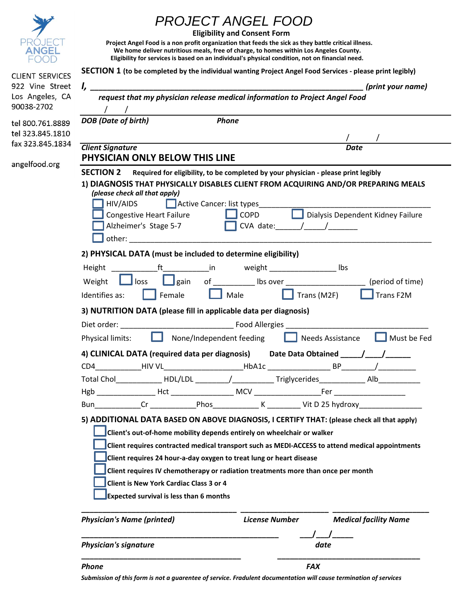|                               | <i>PROJECT ANGEL FOOD</i><br>Project Angel Food is a non profit organization that feeds the sick as they battle critical illness.<br>We home deliver nutritious meals, free of charge, to homes within Los Angeles County.<br>Eligibility for services is based on an individual's physical condition, not on financial need.                                                                                                                                                                                                          | <b>Eligibility and Consent Form</b> |                                 |  |  |
|-------------------------------|----------------------------------------------------------------------------------------------------------------------------------------------------------------------------------------------------------------------------------------------------------------------------------------------------------------------------------------------------------------------------------------------------------------------------------------------------------------------------------------------------------------------------------------|-------------------------------------|---------------------------------|--|--|
| <b>CLIENT SERVICES</b>        | SECTION 1 (to be completed by the individual wanting Project Angel Food Services - please print legibly)                                                                                                                                                                                                                                                                                                                                                                                                                               |                                     |                                 |  |  |
| 922 Vine Street               |                                                                                                                                                                                                                                                                                                                                                                                                                                                                                                                                        |                                     | (print your name)               |  |  |
| Los Angeles, CA<br>90038-2702 | request that my physician release medical information to Project Angel Food                                                                                                                                                                                                                                                                                                                                                                                                                                                            |                                     |                                 |  |  |
| tel 800.761.8889              | Phone<br><b>DOB</b> (Date of birth)                                                                                                                                                                                                                                                                                                                                                                                                                                                                                                    |                                     |                                 |  |  |
| tel 323.845.1810              |                                                                                                                                                                                                                                                                                                                                                                                                                                                                                                                                        |                                     |                                 |  |  |
| fax 323.845.1834              | <b>Client Signature</b>                                                                                                                                                                                                                                                                                                                                                                                                                                                                                                                |                                     | <b>Date</b>                     |  |  |
| angelfood.org                 | PHYSICIAN ONLY BELOW THIS LINE                                                                                                                                                                                                                                                                                                                                                                                                                                                                                                         |                                     |                                 |  |  |
|                               | <b>SECTION 2</b><br>Required for eligibility, to be completed by your physician - please print legibly                                                                                                                                                                                                                                                                                                                                                                                                                                 |                                     |                                 |  |  |
|                               | 1) DIAGNOSIS THAT PHYSICALLY DISABLES CLIENT FROM ACQUIRING AND/OR PREPARING MEALS<br>(please check all that apply)<br>Active Cancer: list types_<br>HIV/AIDS<br>Dialysis Dependent Kidney Failure<br><b>Congestive Heart Failure</b><br>$\Box$ COPD<br>Alzheimer's Stage 5-7<br>$\Box$ CVA date: $\prime$ /<br>other:                                                                                                                                                                                                                 |                                     |                                 |  |  |
|                               | 2) PHYSICAL DATA (must be included to determine eligibility)                                                                                                                                                                                                                                                                                                                                                                                                                                                                           |                                     |                                 |  |  |
|                               |                                                                                                                                                                                                                                                                                                                                                                                                                                                                                                                                        |                                     |                                 |  |  |
|                               | ft_______________in    weight _____________________ lbs<br>Height<br>of ___________ lbs over _______________________ (period of time)<br>$\Box$ gain<br>Weight<br>loss                                                                                                                                                                                                                                                                                                                                                                 |                                     |                                 |  |  |
|                               | Identifies as:                                                                                                                                                                                                                                                                                                                                                                                                                                                                                                                         |                                     |                                 |  |  |
|                               | Female<br>Trans F2M<br>Male<br>Trans (M2F)                                                                                                                                                                                                                                                                                                                                                                                                                                                                                             |                                     |                                 |  |  |
|                               | 3) NUTRITION DATA (please fill in applicable data per diagnosis)                                                                                                                                                                                                                                                                                                                                                                                                                                                                       |                                     |                                 |  |  |
|                               | Diet order: Food Allergies<br>None/Independent feeding<br>Physical limits:                                                                                                                                                                                                                                                                                                                                                                                                                                                             |                                     | Must be Fed<br>Needs Assistance |  |  |
|                               | 4) CLINICAL DATA (required data per diagnosis) Date Data Obtained /                                                                                                                                                                                                                                                                                                                                                                                                                                                                    |                                     |                                 |  |  |
|                               | CD4 HIV VL HbA1c BP /                                                                                                                                                                                                                                                                                                                                                                                                                                                                                                                  |                                     |                                 |  |  |
|                               | Total Chol______________ HDL/LDL __________/_____________Triglycerides________________Alb_______________                                                                                                                                                                                                                                                                                                                                                                                                                               |                                     |                                 |  |  |
|                               |                                                                                                                                                                                                                                                                                                                                                                                                                                                                                                                                        |                                     |                                 |  |  |
|                               |                                                                                                                                                                                                                                                                                                                                                                                                                                                                                                                                        |                                     |                                 |  |  |
|                               | 5) ADDITIONAL DATA BASED ON ABOVE DIAGNOSIS, I CERTIFY THAT: (please check all that apply)<br>Client's out-of-home mobility depends entirely on wheelchair or walker<br>Client requires contracted medical transport such as MEDI-ACCESS to attend medical appointments<br>Client requires 24 hour-a-day oxygen to treat lung or heart disease<br>Client requires IV chemotherapy or radiation treatments more than once per month<br><b>Client is New York Cardiac Class 3 or 4</b><br><b>Expected survival is less than 6 months</b> |                                     |                                 |  |  |
|                               | <b>Physician's Name (printed)</b>                                                                                                                                                                                                                                                                                                                                                                                                                                                                                                      | <b>License Number</b>               | <b>Medical facility Name</b>    |  |  |
|                               | <b>Physician's signature</b>                                                                                                                                                                                                                                                                                                                                                                                                                                                                                                           |                                     | date                            |  |  |
|                               | Phone                                                                                                                                                                                                                                                                                                                                                                                                                                                                                                                                  |                                     | <b>FAX</b>                      |  |  |

*Submission of this form is not a guarentee of service. Fradulent documentation will cause termination of services*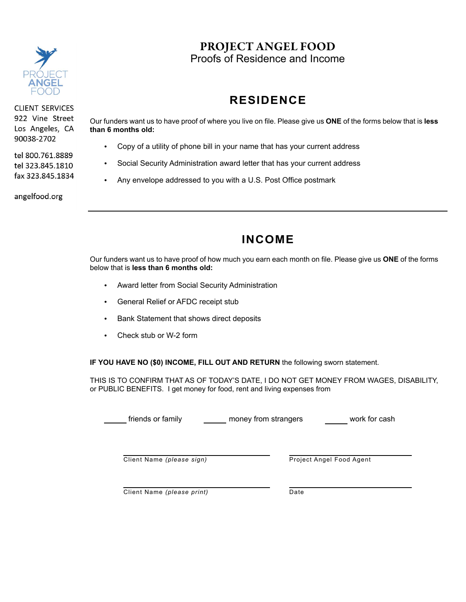

**CLIENT SERVICES** 922 Vine Street Los Angeles, CA 90038-2702

tel 800.761.8889 tel 323.845.1810 fax 323.845.1834

angelfood.org

PROJECT ANGEL FOOD Proofs of Residence and Income

# **RESIDENCE**

Our funders want us to have proof of where you live on file. Please give us **ONE** of the forms below that is **less than 6 months old:**

- **•** Copy of a utility of phone bill in your name that has your current address
- **•** Social Security Administration award letter that has your current address
- **•** Any envelope addressed to you with a U.S. Post Office postmark

# **INCOME**

Our funders want us to have proof of how much you earn each month on file. Please give us **ONE** of the forms below that is **less than 6 months old:**

- **•** Award letter from Social Security Administration
- **•** General Relief or AFDC receipt stub
- **•** Bank Statement that shows direct deposits
- **•** Check stub or W-2 form

**IF YOU HAVE NO (\$0) INCOME, FILL OUT AND RETURN** the following sworn statement.

THIS IS TO CONFIRM THAT AS OF TODAY'S DATE, I DO NOT GET MONEY FROM WAGES, DISABILITY, or PUBLIC BENEFITS. I get money for food, rent and living expenses from

friends or family money from strangers work for cash

Client Name *(please sign)*

Project Angel Food Agent

Client Name *(please print)* Date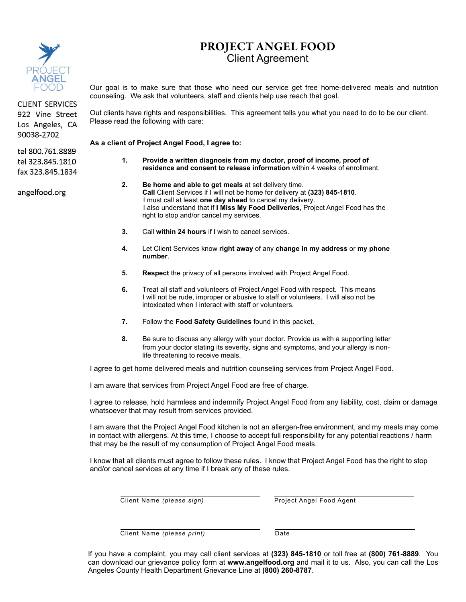

**CLIENT SERVICES** 922 Vine Street Los Angeles, CA 90038-2702

tel 800.761.8889 tel 323.845.1810 fax 323.845.1834

angelfood.org

#### PROJECT ANGEL FOOD Client Agreement

Our goal is to make sure that those who need our service get free home-delivered meals and nutrition counseling. We ask that volunteers, staff and clients help use reach that goal.

Out clients have rights and responsibilities. This agreement tells you what you need to do to be our client. Please read the following with care:

**As a client of Project Angel Food, I agree to:**

- **1. Provide a written diagnosis from my doctor, proof of income, proof of residence and consent to release information** within 4 weeks of enrollment.
- **2. Be home and able to get meals** at set delivery time. **Call** Client Services if I will not be home for delivery at **(323) 845-1810**. I must call at least **one day ahead** to cancel my delivery. I also understand that if **I Miss My Food Deliveries**, Project Angel Food has the right to stop and/or cancel my services.
- **3.** Call **within 24 hours** if I wish to cancel services.
- **4.** Let Client Services know **right away** of any **change in my address** or **my phone number**.
- **5. Respect** the privacy of all persons involved with Project Angel Food.
- **6.** Treat all staff and volunteers of Project Angel Food with respect. This means I will not be rude, improper or abusive to staff or volunteers. I will also not be intoxicated when I interact with staff or volunteers.
- **7.** Follow the **Food Safety Guidelines** found in this packet.
- **8.** Be sure to discuss any allergy with your doctor. Provide us with a supporting letter from your doctor stating its severity, signs and symptoms, and your allergy is nonlife threatening to receive meals.

I agree to get home delivered meals and nutrition counseling services from Project Angel Food.

I am aware that services from Project Angel Food are free of charge.

I agree to release, hold harmless and indemnify Project Angel Food from any liability, cost, claim or damage whatsoever that may result from services provided.

I am aware that the Project Angel Food kitchen is not an allergen-free environment, and my meals may come in contact with allergens. At this time, I choose to accept full responsibility for any potential reactions / harm that may be the result of my consumption of Project Angel Food meals.

I know that all clients must agree to follow these rules. I know that Project Angel Food has the right to stop and/or cancel services at any time if I break any of these rules.

Client Name *(please sign)*

Project Angel Food Agent

Client Name *(please print)*

Date

If you have a complaint, you may call client services at **(323) 845-1810** or toll free at **(800) 761-8889**. You can download our grievance policy form at **www.angelfood.org** and mail it to us. Also, you can call the Los Angeles County Health Department Grievance Line at **(800) 260-8787**.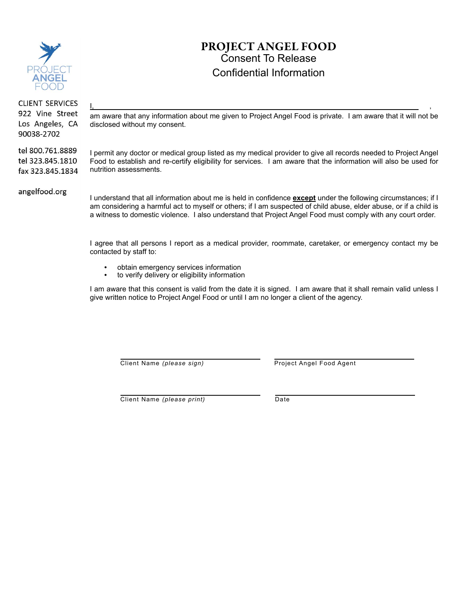

### PROJECT ANGEL FOOD Consent To Release Confidential Information

**CLIENT SERVICES** 922 Vine Street Los Angeles, CA 90038-2702

tel 800.761.8889 tel 323.845.1810 fax 323.845.1834 am aware that any information about me given to Project Angel Food is private. I am aware that it will not be disclosed without my consent.

I, and the contract of the contract of the contract of the contract of the contract of the contract of the contract of the contract of the contract of the contract of the contract of the contract of the contract of the co

I permit any doctor or medical group listed as my medical provider to give all records needed to Project Angel Food to establish and re-certify eligibility for services. I am aware that the information will also be used for nutrition assessments.

angelfood.org

I understand that all information about me is held in confidence **except** under the following circumstances; if I am considering a harmful act to myself or others; if I am suspected of child abuse, elder abuse, or if a child is a witness to domestic violence. I also understand that Project Angel Food must comply with any court order.

I agree that all persons I report as a medical provider, roommate, caretaker, or emergency contact my be contacted by staff to:

- **•** obtain emergency services information
- **•** to verify delivery or eligibility information

I am aware that this consent is valid from the date it is signed. I am aware that it shall remain valid unless I give written notice to Project Angel Food or until I am no longer a client of the agency.

Client Name *(please sign)*

Project Angel Food Agent

Client Name *(please print)*

Date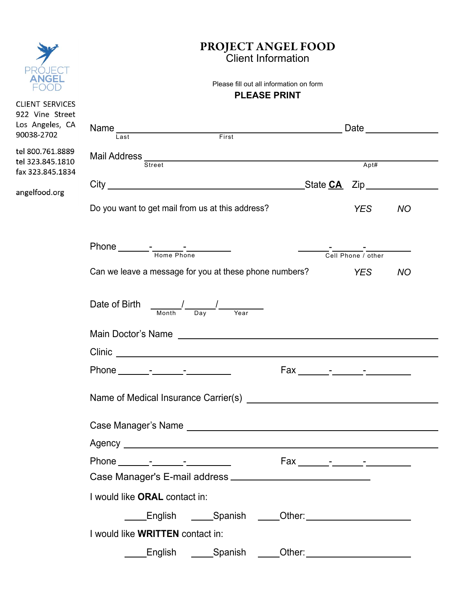|                                                                           | <b>PROJECT ANGEL FOOD</b><br><b>Client Information</b><br>Please fill out all information on form<br><b>PLEASE PRINT</b> |            |                  |  |  |  |
|---------------------------------------------------------------------------|--------------------------------------------------------------------------------------------------------------------------|------------|------------------|--|--|--|
| ANGEI                                                                     |                                                                                                                          |            |                  |  |  |  |
| <b>CLIENT SERVICES</b><br>922 Vine Street<br>Los Angeles, CA              |                                                                                                                          |            | Date <u>said</u> |  |  |  |
| 90038-2702                                                                | Name<br>Last First First                                                                                                 |            |                  |  |  |  |
| tel 800.761.8889<br>tel 323.845.1810<br>fax 323.845.1834<br>angelfood.org | Street                                                                                                                   | Apt#       |                  |  |  |  |
|                                                                           |                                                                                                                          |            |                  |  |  |  |
|                                                                           | Do you want to get mail from us at this address?                                                                         | <b>YES</b> | <b>NO</b>        |  |  |  |
|                                                                           | Phone $\frac{1}{\frac{1}{\text{Home Phase}}}\frac{1}{\text{Phone Phone}}$<br>Cell Phone / other                          |            |                  |  |  |  |
|                                                                           | Can we leave a message for you at these phone numbers? YES                                                               |            | <b>NO</b>        |  |  |  |
|                                                                           | Date of Birth<br>$\frac{\frac{1}{2}}{\frac{1}{2}}$<br>$\overline{Day}$<br>Month<br>Year                                  |            |                  |  |  |  |
|                                                                           |                                                                                                                          |            |                  |  |  |  |
|                                                                           |                                                                                                                          |            |                  |  |  |  |
|                                                                           |                                                                                                                          |            |                  |  |  |  |
|                                                                           | Name of Medical Insurance Carrier(s) Name of Medical Insurance Carrier(s)                                                |            |                  |  |  |  |
|                                                                           |                                                                                                                          |            |                  |  |  |  |
|                                                                           |                                                                                                                          |            |                  |  |  |  |
|                                                                           |                                                                                                                          |            |                  |  |  |  |
|                                                                           |                                                                                                                          |            |                  |  |  |  |
|                                                                           | I would like ORAL contact in:                                                                                            |            |                  |  |  |  |
|                                                                           |                                                                                                                          |            |                  |  |  |  |
|                                                                           | I would like WRITTEN contact in:                                                                                         |            |                  |  |  |  |
|                                                                           | _____English  _____Spanish<br>_Other: _________________________                                                          |            |                  |  |  |  |